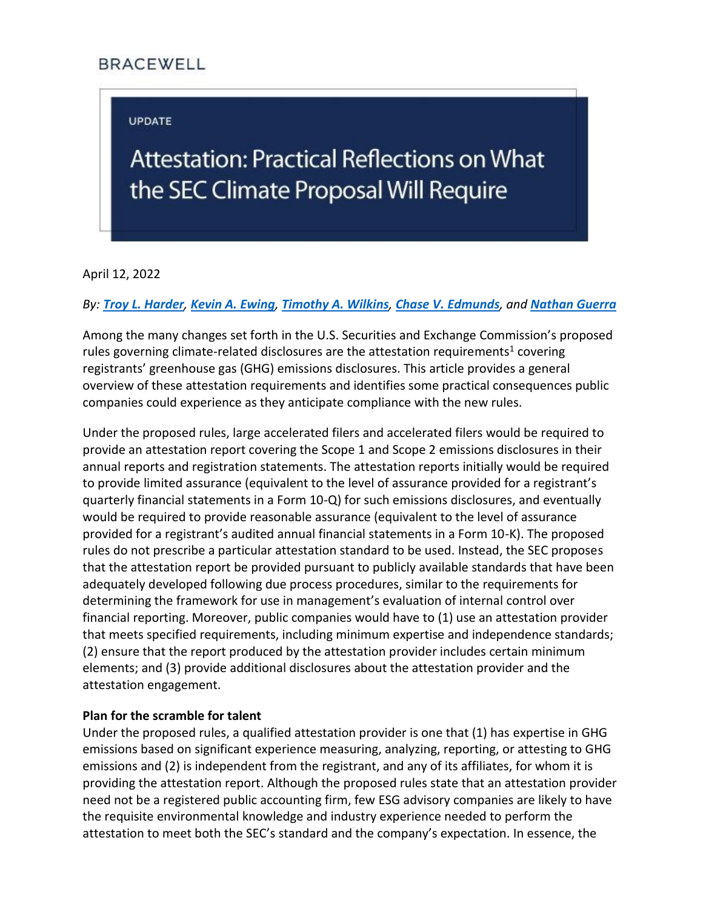# **BRACEWELL**

# **UPDATE**

# Attestation: Practical Reflections on What the SEC Climate Proposal Will Require

April 12, 2022

#### *By: [Troy L. Harder](https://bracewell.com/people/troy-l-harder), [Kevin A. Ewing](https://bracewell.com/people/kevin-ewing), [Timothy A. Wilkins](https://bracewell.com/people/timothy-wilkins), [Chase V. Edmunds](https://bracewell.com/people/chase-v-edmunds), and [Nathan Guerra](https://bracewell.com/people/nathan-guerra)*

Among the many changes set forth in the U.S. Securities and Exchange Commission's proposed rules governing climate-related disclosures are the attestation requirements<sup>1</sup> covering registrants' greenhouse gas (GHG) emissions disclosures. This article provides a general overview of these attestation requirements and identifies some practical consequences public companies could experience as they anticipate compliance with the new rules.

Under the proposed rules, large accelerated filers and accelerated filers would be required to provide an attestation report covering the Scope 1 and Scope 2 emissions disclosures in their annual reports and registration statements. The attestation reports initially would be required to provide limited assurance (equivalent to the level of assurance provided for a registrant's quarterly financial statements in a Form 10-Q) for such emissions disclosures, and eventually would be required to provide reasonable assurance (equivalent to the level of assurance provided for a registrant's audited annual financial statements in a Form 10-K). The proposed rules do not prescribe a particular attestation standard to be used. Instead, the SEC proposes that the attestation report be provided pursuant to publicly available standards that have been adequately developed following due process procedures, similar to the requirements for determining the framework for use in management's evaluation of internal control over financial reporting. Moreover, public companies would have to (1) use an attestation provider that meets specified requirements, including minimum expertise and independence standards; (2) ensure that the report produced by the attestation provider includes certain minimum elements; and (3) provide additional disclosures about the attestation provider and the attestation engagement.

# **Plan for the scramble for talent**

Under the proposed rules, a qualified attestation provider is one that (1) has expertise in GHG emissions based on significant experience measuring, analyzing, reporting, or attesting to GHG emissions and (2) is independent from the registrant, and any of its affiliates, for whom it is providing the attestation report. Although the proposed rules state that an attestation provider need not be a registered public accounting firm, few ESG advisory companies are likely to have the requisite environmental knowledge and industry experience needed to perform the attestation to meet both the SEC's standard and the company's expectation. In essence, the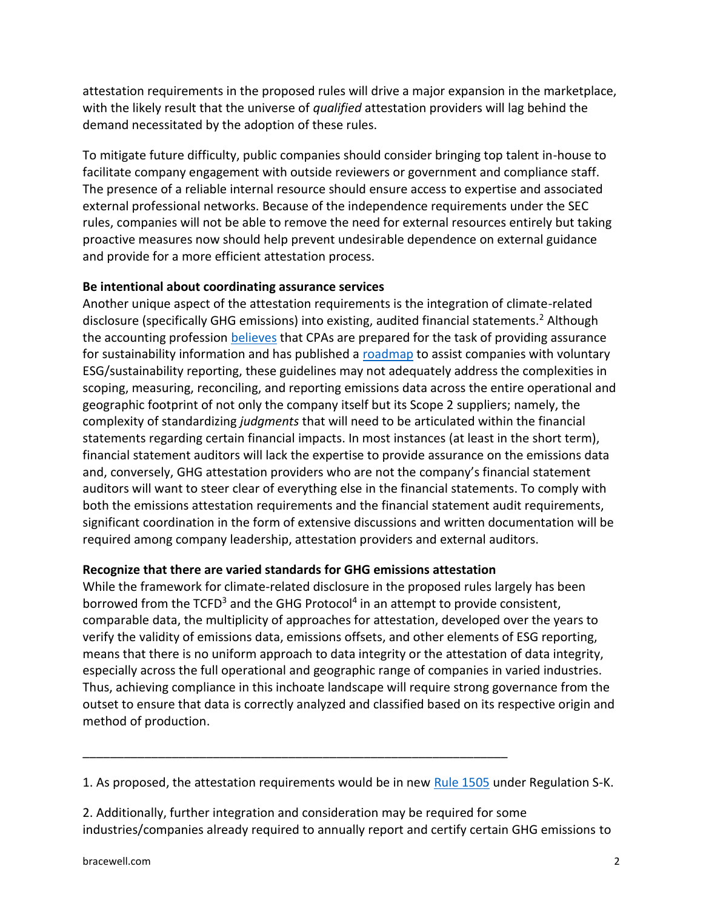attestation requirements in the proposed rules will drive a major expansion in the marketplace, with the likely result that the universe of *qualified* attestation providers will lag behind the demand necessitated by the adoption of these rules.

To mitigate future difficulty, public companies should consider bringing top talent in-house to facilitate company engagement with outside reviewers or government and compliance staff. The presence of a reliable internal resource should ensure access to expertise and associated external professional networks. Because of the independence requirements under the SEC rules, companies will not be able to remove the need for external resources entirely but taking proactive measures now should help prevent undesirable dependence on external guidance and provide for a more efficient attestation process.

#### **Be intentional about coordinating assurance services**

Another unique aspect of the attestation requirements is the integration of climate-related disclosure (specifically GHG emissions) into existing, audited financial statements.<sup>2</sup> Although the accounting profession [believes](https://us.aicpa.org/content/dam/aicpa/interestareas/businessindustryandgovernment/resources/sustainability/downloadabledocuments/1803-352-sustainability-assurance-brochure.pdf) that CPAs are prepared for the task of providing assurance for sustainability information and has published a [roadmap](https://us.aicpa.org/content/dam/aicpa/interestareas/businessindustryandgovernment/resources/sustainability/downloadabledocuments/caq-esg-reporting-and-attestation-roadmap-2021-Feb-v2.pdf) to assist companies with voluntary ESG/sustainability reporting, these guidelines may not adequately address the complexities in scoping, measuring, reconciling, and reporting emissions data across the entire operational and geographic footprint of not only the company itself but its Scope 2 suppliers; namely, the complexity of standardizing *judgments* that will need to be articulated within the financial statements regarding certain financial impacts. In most instances (at least in the short term), financial statement auditors will lack the expertise to provide assurance on the emissions data and, conversely, GHG attestation providers who are not the company's financial statement auditors will want to steer clear of everything else in the financial statements. To comply with both the emissions attestation requirements and the financial statement audit requirements, significant coordination in the form of extensive discussions and written documentation will be required among company leadership, attestation providers and external auditors.

# **Recognize that there are varied standards for GHG emissions attestation**

\_\_\_\_\_\_\_\_\_\_\_\_\_\_\_\_\_\_\_\_\_\_\_\_\_\_\_\_\_\_\_\_\_\_\_\_\_\_\_\_\_\_\_\_\_\_\_\_\_\_\_\_\_\_\_\_\_\_\_\_\_\_

While the framework for climate-related disclosure in the proposed rules largely has been borrowed from the TCFD<sup>3</sup> and the GHG Protocol<sup>4</sup> in an attempt to provide consistent, comparable data, the multiplicity of approaches for attestation, developed over the years to verify the validity of emissions data, emissions offsets, and other elements of ESG reporting, means that there is no uniform approach to data integrity or the attestation of data integrity, especially across the full operational and geographic range of companies in varied industries. Thus, achieving compliance in this inchoate landscape will require strong governance from the outset to ensure that data is correctly analyzed and classified based on its respective origin and method of production.

1. As proposed, the attestation requirements would be in new [Rule 1505](https://www.federalregister.gov/documents/2022/04/11/2022-06342/the-enhancement-and-standardization-of-climate-related-disclosures-for-investors#sectno-reference-229.1505) under Regulation S-K.

2. Additionally, further integration and consideration may be required for some industries/companies already required to annually report and certify certain GHG emissions to